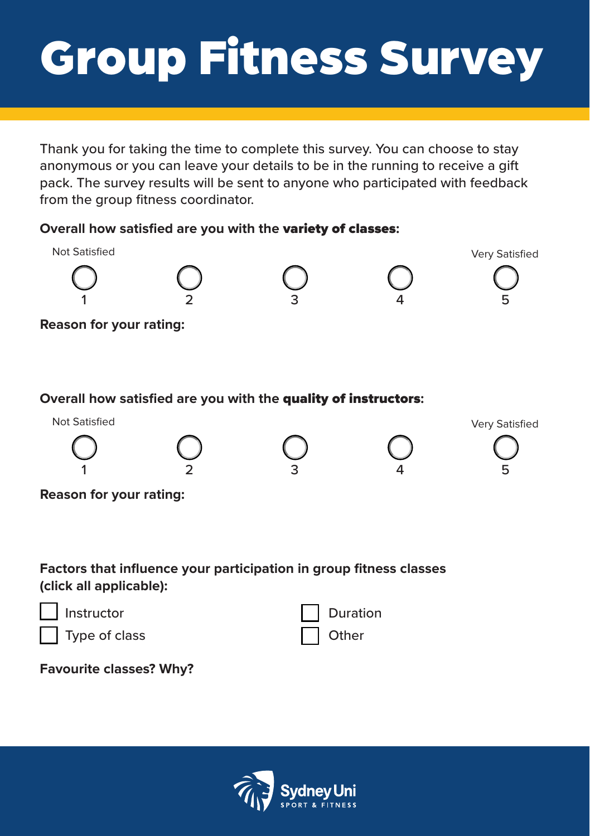## Group Fitness Survey

Thank you for taking the time to complete this survey. You can choose to stay anonymous or you can leave your details to be in the running to receive a gift pack. The survey results will be sent to anyone who participated with feedback from the group fitness coordinator.

## **Overall how satisfied are you with the** variety of classes**:**



**Reason for your rating:**

## **Overall how satisfied are you with the** quality of instructors**:**



**Reason for your rating:**

**Factors that influence your participation in group fitness classes (click all applicable):**



**Favourite classes? Why?**